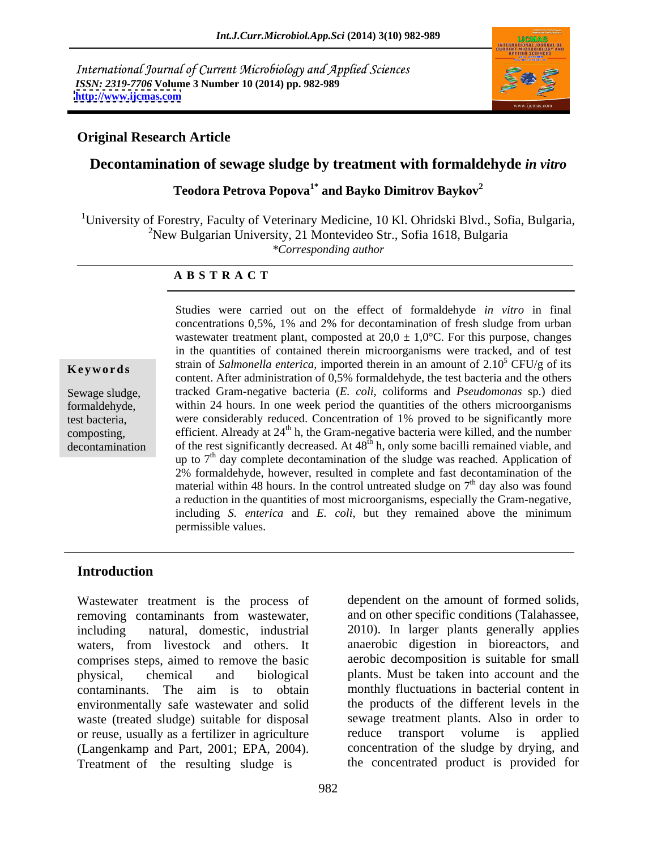International Journal of Current Microbiology and Applied Sciences *ISSN: 2319-7706* **Volume 3 Number 10 (2014) pp. 982-989 <http://www.ijcmas.com>**



### **Original Research Article**

### **Decontamination of sewage sludge by treatment with formaldehyde** *in vitro*

**Teodora Petrova Popova1\* and Bayko Dimitrov Baykov2**

<sup>1</sup>University of Forestry, Faculty of Veterinary Medicine, 10 Kl. Ohridski Blvd., Sofia, Bulgaria, <sup>2</sup>New Bulgarian University, 21 Montevideo Str., Sofia 1618, Bulgaria *\*Corresponding author*

### **A B S T R A C T**

**Keywords** Sultan of *Sumonella enterica*, imported therein in an amount of 2.10 CFO/g of its content. After administration of 0,5% formaldehyde, the test bacteria and the others Sewage sludge, tracked Gram-negative bacteria (*E. coli*, coliforms and *Pseudomonas* sp.) died formaldehyde, within 24 hours. In one week period the quantities of the others microorganisms test bacteria, were considerably reduced. Concentration of 1% proved to be significantly more composting, efficient. Already at  $24<sup>th</sup>$  h, the Gram-negative bacteria were killed, and the number decontamination of the rest significantly decreased. At  $48<sup>th</sup>$  h, only some bacilli remained viable, and Studies were carried out on the effect of formaldehyde *in vitro* in final concentrations 0,5%, 1% and 2% for decontamination of fresh sludge from urban wastewater treatment plant, composted at  $20.0 \pm 1.0$ °C. For this purpose, changes in the quantities of contained therein microorganisms were tracked, and of test strain of *Salmonella enterica*, imported therein in an amount of  $2.10^5$  CFU/g of its  $5$  CFU/g of its up to 7<sup>th</sup> day complete decontamination of the sludge was reached. Application of 2% formaldehyde, however, resulted in complete and fast decontamination of the material within 48 hours. In the control untreated sludge on  $7<sup>th</sup>$  day also was found <sup>th</sup> day also was found a reduction in the quantities of most microorganisms, especially the Gram-negative, including *S. enterica* and *E. coli*, but they remained above the minimum permissible values.

### **Introduction**

Wastewater treatment is the process of removing contaminants from wastewater, including natural, domestic, industrial 2010). In larger plants generally applies waters, from livestock and others. It comprises steps, aimed to remove the basic physical, chemical and biological plants. Must be taken into account and the contaminants. The aim is to obtain environmentally safe wastewater and solid waste (treated sludge) suitable for disposal sewage treatment plants. Also reuse usually as a fertilizer in agriculture reduce transport volume or reuse, usually as a fertilizer in agriculture (Langenkamp and Part, 2001; EPA, 2004). Treatment of the resulting sludge is

dependent on the amount of formed solids, and on other specific conditions (Talahassee, anaerobic digestion in bioreactors, and aerobic decomposition is suitable for small monthly fluctuations in bacterial content in the products of the different levels in the sewage treatment plants. Also in order to reduce transport volume is applied concentration of the sludge by drying, and the concentrated product is provided for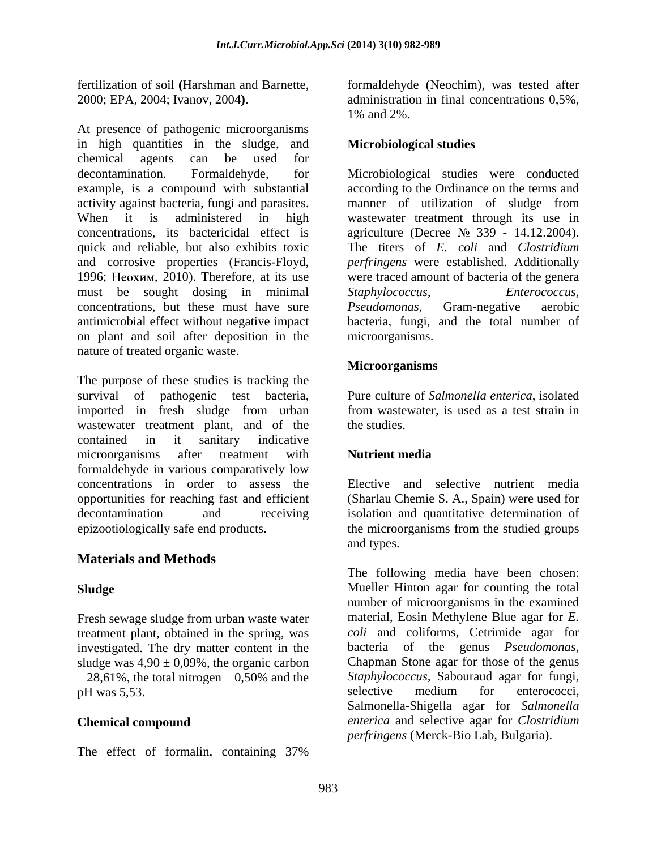in high quantities in the sludge, and chemical agents can be used for decontamination. Formaldehyde, for Microbiological studies were conducted example, is a compound with substantial according to the Ordinance on the terms and activity against bacteria, fungi and parasites. manner of utilization of sludge from When it is administered in high wastewater treatment through its use in concentrations, its bactericidal effect is agriculture (Decree  $\mathcal{N}_2$  339 - 14.12.2004). quick and reliable, but also exhibits toxic The titers of *E. coli* and *Clostridium*  and corrosive properties (Francis-Floyd, *perfringens* were established. Additionally 1996; Неохим, 2010). Therefore, at its use were traced amount of bacteria of the genera must be sought dosing in minimal Staphylococcus, Enterococcus, concentrations, but these must have sure *Pseudomonas*, Gram-negative aerobic antimicrobial effect without negative impact bacteria, fungi, and the total number of on plant and soil after deposition in the nature of treated organic waste.

The purpose of these studies is tracking the survival of pathogenic test bacteria, imported in fresh sludge from urban wastewater treatment plant, and of the the studies. contained in it sanitary indicative microorganisms after treatment with **Nutrient media** formaldehyde in various comparatively low concentrations in order to assess the opportunities for reaching fast and efficient (Sharlau Chemie S. A., Spain) were used for decontamination and receiving isolation and quantitative determination of epizootiologically safe end products. the microorganisms from the studied groups

# **Materials and Methods**

Fresh sewage sludge from urban waste water treatment plant, obtained in the spring, was investigated. The dry matter content in the bacteria of the genus *Pseudomonas*, sludge was  $4.90 \pm 0.09\%$ , the organic carbon Chapman Stone agar for those of the genus sludge was  $4.90 \pm 0.09\%$ , the organic carbon  $-28,61\%$ , the total nitrogen  $-0,50\%$  and the *Staphylococcus*, Sabo<br>
nH was 5.53

The effect of formalin, containing 37%

fertilization of soil **(**Harshman and Barnette, formaldehyde (Neochim), was tested after 2000; EPA, 2004; Ivanov, 2004). <br>
At presence of pathogenic microorganisms<br>
At presence of pathogenic microorganisms administration in final concentrations 0,5%, 1% and 2%.

## **Microbiological studies**

*Staphylococcus, Enterococcus, Pseudomonas*, Gram-negative aerobic microorganisms.

### **Microorganisms**

Pure culture of *Salmonella enterica*, isolated from wastewater, is used as a test strain in the studies.

## **Nutrient media**

Elective and selective nutrient media and types.

**Sludge** Mueller Hinton agar for counting the total pH was 5,53. Selective medium for enterococci, **Chemical compound** *enterica* and selective agar for *Clostridium*  The following media have been chosen: number of microorganisms in the examined material, Eosin Methylene Blue agar for *E. coli* and coliforms, Cetrimide agar for bacteria of the genus *Pseudomonas*, Chapman Stone agar for those of the genus *Staphylococcus,* Sabouraud agar for fungi, selective medium for enterococci, Salmonella-Shigella agar for *Salmonella perfringens* (Merck-Bio Lab, Bulgaria).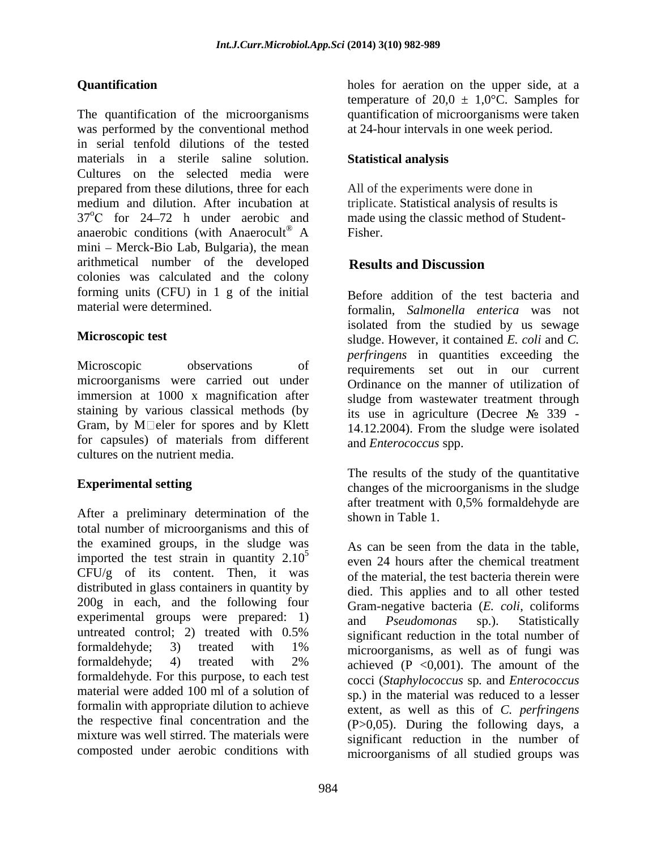The quantification of the microorganisms quantification of microorganisms were taken was performed by the conventional method in serial tenfold dilutions of the tested materials in a sterile saline solution. Cultures on the selected media were prepared from these dilutions, three for each medium and dilution. After incubation at 37<sup>o</sup>C for 24–72 h under aerobic and made using the classic method of Studentanaerobic conditions (with Anaerocult<sup>®</sup> A Fisher. mini - Merck-Bio Lab, Bulgaria), the mean arithmetical number of the developed **Results and Discussion** colonies was calculated and the colony forming units (CFU) in 1 g of the initial

Microscopic observations of requirements set out in our current microorganisms were carried out under immersion at 1000 x magnification after staining by various classical methods (by Gram, by M $\square$ eler for spores and by Klett  $\square$  (14.12.2004). From the sludge were isolated for capsules) of materials from different cultures on the nutrient media.

After a preliminary determination of the total number of microorganisms and this of the examined groups, in the sludge was As can be seen from the data in the table. imported the test strain in quantity  $2.10<sup>5</sup>$  $CFU/g$  of its content. Then, it was distributed in glass containers in quantity by 200g in each, and the following four experimental groups were prepared: 1) and *Pseudomonas* sp.). Statistically material were added 100 ml of a solution of formalin with appropriate dilution to achieve mixture was well stirred. The materials were

**Quantification**  holes for aeration on the upper side, at a temperature of 20,0  $\pm$  1,0°C. Samples for at 24-hour intervals in one week period.

## **Statistical analysis**

A Fisher. All of the experiments were done in triplicate. Statistical analysis of results is Fisher.

## **Results and Discussion**

material were determined. formalin, *Salmonella enterica* was not **Microscopic test** sludge. However, it contained *E. coli* and *C.* Before addition of the test bacteria and isolated from the studied by us sewage *perfringens* in quantities exceeding the Ordinance on the manner of utilization of sludge from wastewater treatment through its use in agriculture (Decree  $\mathbb{N}^{\circ}$  339 -14.12.2004). From the sludge were isolated and *Enterococcus* spp.

**Experimental setting** changes of the microorganisms in the sludge The results of the study of the quantitative after treatment with 0,5% formaldehyde are shown in Table 1.

untreated control; 2) treated with  $0.5\%$  significant reduction in the total number of formaldehyde; 3) treated with 1% microorganisms as well as of fungi was formaldehyde; 4) treated with 2% achieved  $(P \le 0.001)$ . The amount of the formaldehyde. For this purpose, to each test cocci (*Staphylococcus* sp*.* and *Enterococcus*  the respective final concentration and the  $(P>0,05)$ . During the following days, a composted under aerobic conditions with microorganisms of all studied groups wasAs can be seen from the data in the table, even 24 hours after the chemical treatment of the material, the test bacteria therein were died. This applies and to all other tested Gram-negative bacteria (*E. coli*, coliforms and *Pseudomonas* sp.). Statistically significant reduction in the total number of microorganisms, as well as of fungi was achieved  $(P \le 0.001)$ . The amount of the sp*.*) in the material was reduced to a lesser extent, as well as this of *C. perfringens* significant reduction in the number of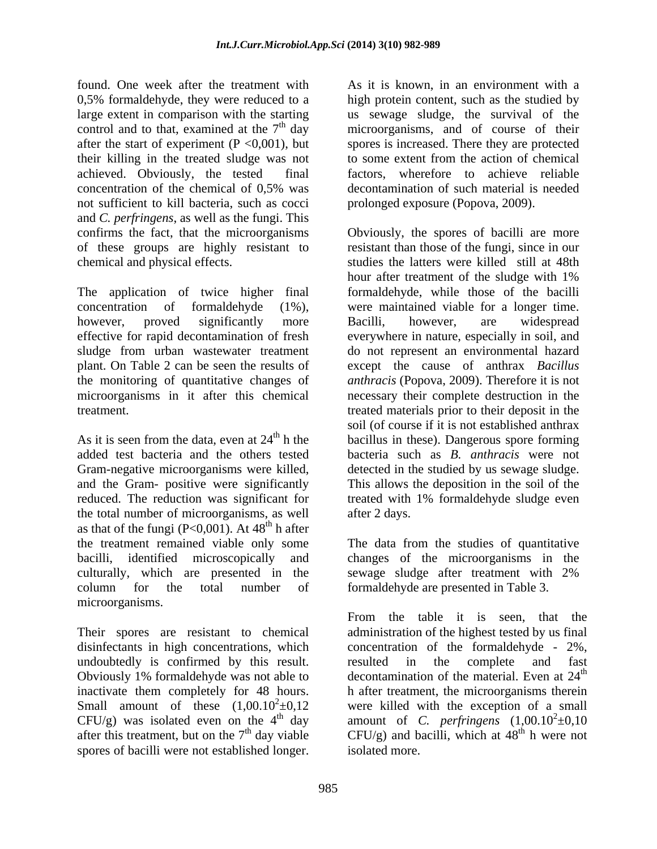found. One week after the treatment with As it is known, in an environment with a 0,5% formaldehyde, they were reduced to a high protein content, such as the studied by large extent in comparison with the starting us sewage sludge, the survival of the control and to that, examined at the  $7<sup>th</sup>$  day microorganisms, and of course of their after the start of experiment (P <0,001), but spores is increased. There they are protected their killing in the treated sludge was not to some extent from the action of chemical achieved. Obviously, the tested final factors, wherefore to achieve reliable concentration of the chemical of 0,5% was not sufficient to kill bacteria, such as cocci and *C. perfringens*, as well as the fungi. This of these groups are highly resistant to

Gram-negative microorganisms were killed, detected in the studied by us sewage sludge. and the Gram- positive were significantly This allows the deposition in the soil of the the total number of microorganisms, as well as that of the fungi (P<0,001). At  $48^{\text{th}}$  h after<br>the treatment remained viable only some the treatment remained viable only some The data from the studies of quantitative bacilli, identified microscopically and changes of the microorganisms in the culturally, which are presented in the sewage sludge after treatment with 2% column for the total number of formaldehyde are presented in Table 3.

inactivate them completely for 48 hours. Small amount of these  $(1,00.10^2 \pm 0,12$ <br>CFU/g) was isolated even on the 4<sup>th</sup> day decontamination of such material is needed prolonged exposure (Popova, 2009).

confirms the fact, that the microorganisms Obviously, the spores of bacilli are more chemical and physical effects. studies the latters were killed still at 48th The application of twice higher final formaldehyde, while those of the bacilli concentration of formaldehyde (1%), were maintained viable for a longer time. however, proved significantly more Bacilli, however, are widespread effective for rapid decontamination of fresh everywhere in nature, especially in soil, and sludge from urban wastewater treatment do not represent an environmental hazard plant. On Table 2 can be seen the results of except the cause of anthrax *Bacillus*  the monitoring of quantitative changes of *anthracis* (Popova, 2009). Therefore it is not microorganisms in it after this chemical necessary their complete destruction in the treatment. The treated materials prior to their deposit in the treated materials prior to their deposit in the As it is seen from the data, even at  $24<sup>th</sup>$  h the bacillus in these). Dangerous spore forming added test bacteria and the others tested bacteria such as *B. anthracis* were not reduced. The reduction was significant for treated with 1% formaldehyde sludge even from the matrix in the spating of the spating of the spating of the spating of the spating content in the spating content in the spating content in comparison with the same spating of the same spating of the spating of th resistant than those of the fungi, since in our hour after treatment of the sludge with 1% Bacilli, however, are widespread soil (of course if it is not established anthrax detected in the studied by us sewage sludge. This allows the deposition in the soil of the after 2 days.

microorganisms.<br>
From the table it is seen, that the<br>
Their spores are resistant to chemical administration of the highest tested by us final disinfectants in high concentrations, which concentration of the formaldehyde - 2%, undoubtedly is confirmed by this result. It resulted in the complete and fast Obviously 1% formaldehyde was not able to  $\qquad$  decontamination of the material. Even at  $24^{\text{th}}$ CFU/g) was isolated even on the 4<sup>th</sup> day amount of *C. perfringens*  $(1,00.10^2 \pm 0,10^2 \text{ m})$ after this treatment, but on the  $7<sup>th</sup>$  day viable CFU/g) and bacilli, which at  $48<sup>th</sup>$  h were not From the table it is seen, that the administration of the highest tested by us final resulted in the complete and fast th h after treatment, the microorganisms therein were killed with the exception of a small  $e^2 \pm 0,10$ <sup>th</sup> h were not isolated more.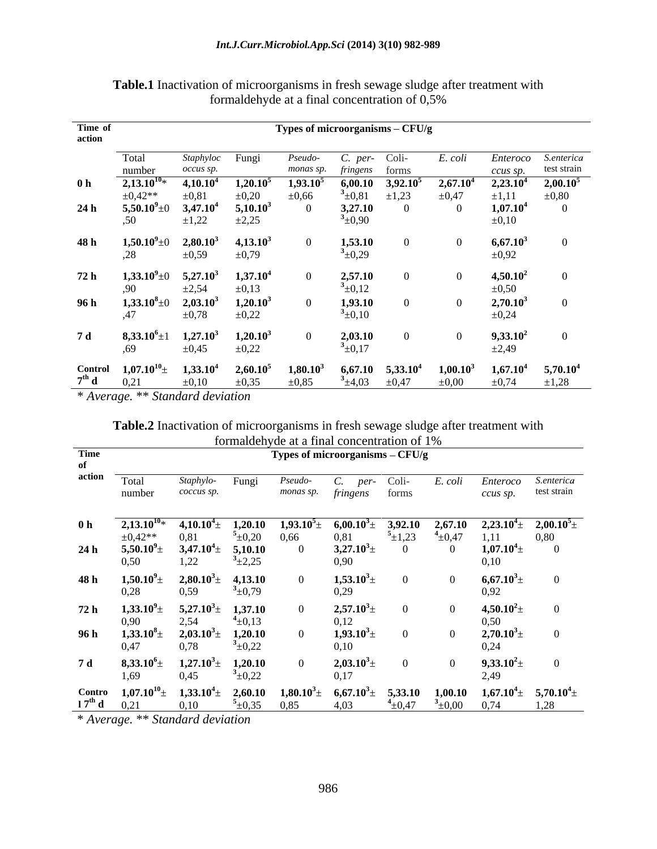| Time of<br>action |                                                    |                                    |                                    | Types of microorganisms $-$ CFU/g |                           |                                     |                           |                                    |                           |
|-------------------|----------------------------------------------------|------------------------------------|------------------------------------|-----------------------------------|---------------------------|-------------------------------------|---------------------------|------------------------------------|---------------------------|
|                   | Total<br>number                                    | Staphyloc<br>occus sp.             | Fungi                              | Pseudo-<br>monas sp.              | C. per- Coli-<br>fringens | forms                               | E. coli                   | Enteroco<br>ccus sp.               | S.enterica<br>test strain |
| 0 <sub>h</sub>    | $2,13.10^{10*}$<br>$\pm 0.42**$                    | $4{,}10{,}10^4$<br>$\pm 0.81$      | 1,20.10 <sup>5</sup><br>$\pm 0,20$ | 1,93.10<br>$\pm 0,66$             | 6,00.10<br>$^{3}$ ±0,81   | 3,92.10 <sup>5</sup><br>$\pm 1,23$  | $2,67.10^4$<br>$\pm 0,47$ | 2,23.10 <sup>4</sup><br>$\pm 1,11$ | $2,00.10^5$<br>$\pm 0,80$ |
| 24h               | $5,50.10^9$ ±<br>,50                               | 3,47.10 <sup>4</sup><br>$\pm 1,22$ | 5,10.10 <sup>3</sup><br>$\pm 2,25$ |                                   | 3,27.10<br>$^{3}$ ±0,90   |                                     |                           | 1,07.10 <sup>4</sup><br>$\pm 0,10$ |                           |
| 48 h              | $1,50.10^{9}$ ±0<br>,28                            | $2,80.10^3$<br>$\pm 0,59$          | 4,13.10 <sup>3</sup><br>$\pm 0.79$ |                                   | 1,53.10<br>$3_{\pm 0,29}$ |                                     |                           | $6,67.10^3$<br>$\pm 0.92$          |                           |
| 72h               | $1,33.10^{9}$ ±0<br>,90                            | $5,27.10^3$<br>$\pm 2,54$          | 1,37.10 <sup>4</sup><br>$\pm 0,13$ |                                   | 2,57.10<br>$^{3}$ ±0,12   |                                     |                           | $4,50.10^2$<br>$\pm 0,50$          |                           |
| 96 h              | $1,33.10^8 \pm$<br>,47                             | $2,03.10^3$<br>$\pm 0.78$          | $1,20.10^3$<br>$\pm 0,22$          |                                   | 1,93.10<br>$^{3}$ ±0,10   |                                     |                           | $2,70.10^3$<br>$\pm 0,24$          |                           |
| 7 d               | $8,33.10^6 \pm 1$<br>,69                           | $1,27.10^3$<br>$\pm 0.45$          | $1,20.10^3$<br>$\pm 0,22$          |                                   | 2,03.10<br>$^{3}$ ±0,17   |                                     |                           | $9,33.10^2$<br>$\pm 2,49$          |                           |
|                   | Control $1,07.10^{10}$ + $7^{th}$ d $0,21$<br>0,21 | 1,33.10 <sup>4</sup><br>$\pm 0.10$ | 2,60.10 <sup>5</sup><br>$\pm 0.35$ | $1,80.10^3$<br>$\pm 0.85$         | $\pm 4.03$                | $6,67.10$ $5,33.10^4$<br>$\pm 0.47$ | $1,00.10^3$<br>$\pm 0.00$ | 1,67.10 <sup>4</sup><br>$\pm 0.74$ | $5,70.10^4$<br>$\pm 1,28$ |

**Table.1** Inactivation of microorganisms in fresh sewage sludge after treatment with formaldehyde at a final concentration of 0,5%

\* *Average.* \*\* *Standard deviation*

| Table.2 Ina<br>ludgo ottor trootr<br>activation of microorgan<br>meni wii<br>ashis in Itesh se<br>ewaye shuuy |  |  |  |
|---------------------------------------------------------------------------------------------------------------|--|--|--|
| ation of 1%<br>dehvde at a final conce                                                                        |  |  |  |

|                |                                                   |                             |                           | TOTHROUGHYGU at a THRAT CONCENTRATION OF T70 |                                  |                         |                         |                                                     |                                    |
|----------------|---------------------------------------------------|-----------------------------|---------------------------|----------------------------------------------|----------------------------------|-------------------------|-------------------------|-----------------------------------------------------|------------------------------------|
| Time           |                                                   |                             |                           | Types of microorganisms - CFU/g              |                                  |                         |                         |                                                     |                                    |
| action         | Total<br>number                                   | Staphylo<br>coccus sp.      | Fungi                     | <i>Pseudo</i>                                | per-<br>monas sp. fringens forms | Coli-                   | E. coli                 | Enteroco                                            | S.enterica<br>ccus sp. test strain |
| 0 <sub>h</sub> | $2,13.10^{10*}$<br>$\pm 0.42**$                   | $4,10.10^4$<br>0,81         | 1,20.10<br>$5_{\pm 0,20}$ | $1,93.10^{5}$<br>0,66                        | $6,00.10^3$<br>0,81              | 3,92.10<br>$^{5}$ ±1,23 | 2,67.10<br>$^{4}$ ±0,47 | $2{,}23.10^{4}$ $\pm$                               | $2{,}00.10^5\pm$<br>0,80           |
| 24h            | $5{,}50.10^9\pm$<br>0,50                          | $3,47.10^{4}$<br>1,22       | 5,10.10<br>$3_{\pm 2,25}$ |                                              | $3,27.10^3$<br>0,90              |                         |                         | $1,07.10^4 \pm$<br>0,10                             |                                    |
| 48 h           | $1,50.10^{9}$ ±<br>0,28                           | $2{,}80.10^3\pm$<br>0,59    | 4,13.10<br>$3_{\pm 0.79}$ |                                              | $1,53.10^3 \pm$<br>0,29          | $\Omega$                | $\theta$                | $6,67.10^3 \pm$<br>0,92                             | - 0                                |
| 72h            | $1,33.10^{9} \pm$<br>0,90                         | $5,27.10^3 \pm$<br>2,54     | 1,37.10<br>$4_{\pm}0,13$  |                                              | $2{,}57.10^3\pm$<br>0,12         | - 0                     | - 0                     | $4,50.10^2 \pm$<br>0,50                             |                                    |
| 96 h           | $1{,}33.10^8$<br>0,47                             | $2,03.10^3 \pm$<br>0,78     | 1,20.10<br>$3_{\pm 0,22}$ |                                              | $1,93.10^3 \pm$<br>0,10          | $\Omega$                |                         | $2,70.10^3 \pm$<br>0,24                             |                                    |
| <b>7 d</b>     | $8,33.10^6\pm$<br>1,69                            | $1,27.10^3 \pm$<br>0,45     | 1,20.10<br>$3_{\pm 0,22}$ |                                              | $2,03.10^3$<br>0,17              | $\Omega$                | $\Omega$                | $9,33.10^2 \pm$<br>2,49                             | $\Omega$                           |
|                | Contro $1,07.10^{10}$ $\pm$<br>$17^{th}$ d $0,21$ | $1,33.10^{4}$ $\pm$<br>0,10 | 2,60.10<br>$5_{\pm 0.35}$ | $1,80.10^3 \pm$<br>0,85                      | $6,67.10^3 \pm$<br>4.03          | 5,33.10<br>$+0,47$      | $^{3}$ ±0,00            | $1,00.10$ $1,67.10^{4}$ $5,70.10^{4}$ $\pm$<br>0,74 | 1,28                               |

\* *Average.* \*\* *Standard deviation*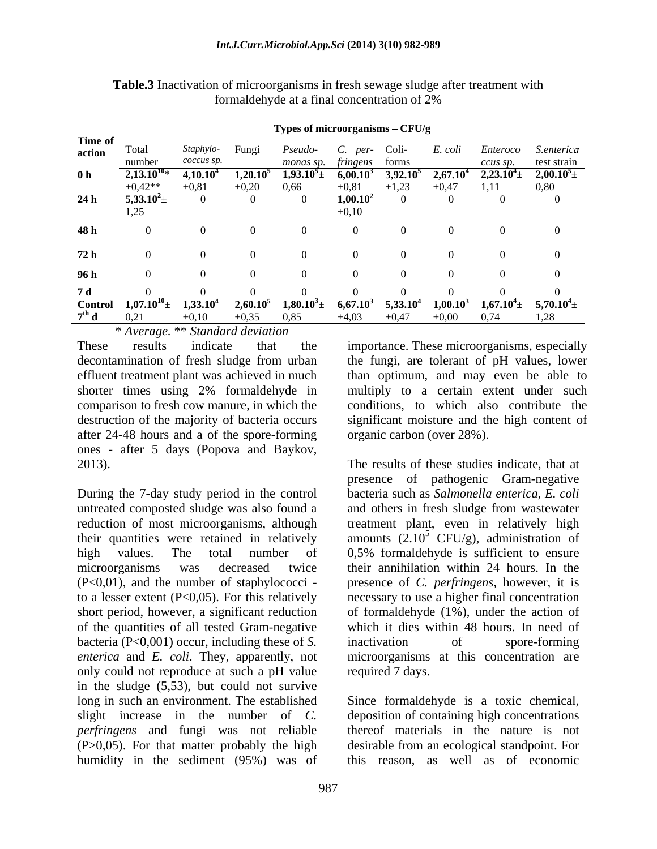|                   |                                  |                      |             | Types of microorganisms - CFU/g |             |                      |             |                  |                                                 |
|-------------------|----------------------------------|----------------------|-------------|---------------------------------|-------------|----------------------|-------------|------------------|-------------------------------------------------|
| Time of<br>action |                                  |                      |             |                                 |             |                      |             |                  |                                                 |
|                   | Total                            | Staphylo-            | Fungi       | <i>Pseudo-</i>                  | per-        |                      | E. coli     | Enteroco         | S.enterica                                      |
|                   |                                  | coccus sp            |             | monas sp.                       | fringens    | forms                |             | ccus sp.         | test strain                                     |
| 0 <sub>h</sub>    | $2,13.10^{10}$                   | 4,10.10 <sup>4</sup> | $1,20.10^5$ | $1,93.10^{5}$ $\pm$             | $6,00.10^3$ | $3,92.10^5$          |             |                  | $2,67.10^4$ $2,23.10^4$ $\pm$ $2,00.10^5$ $\pm$ |
|                   | $\pm 0.42**$                     | $\pm 0.81$           | $\pm 0,20$  | 0,66                            | ±0,81       |                      | ±0.47       |                  | 0,80                                            |
| 24h               | $5,33.10^2$                      |                      |             |                                 | $1,00.10^2$ |                      |             |                  |                                                 |
|                   | 1,25                             |                      |             |                                 | $\pm 0,10$  |                      |             |                  |                                                 |
|                   |                                  |                      |             |                                 |             |                      |             |                  |                                                 |
| 48 h              |                                  |                      |             |                                 |             |                      |             |                  |                                                 |
|                   |                                  |                      |             |                                 |             |                      |             |                  |                                                 |
| 72 h              |                                  |                      |             |                                 |             |                      |             |                  |                                                 |
|                   |                                  |                      |             |                                 |             |                      |             |                  |                                                 |
| 96 h              |                                  |                      |             |                                 |             |                      |             |                  |                                                 |
| 7d                |                                  |                      |             |                                 |             |                      |             |                  |                                                 |
|                   | Control $1,07.10^{10}$ ±         | 1,33.10              | 2,60.10     | $1,80.10^{3}$ +                 | $6,67.10^3$ | 5,33.10 <sup>4</sup> | $1,00.10^3$ | $1{,}67.10^4\pm$ | $5{,}70.10^4\pm$                                |
| $7^{\rm th}$ d    | 0,21                             | $\pm 0.10$           | $\pm 0.35$  | 0.85                            | $\pm 4.03$  | $\pm 0.47$           | $\pm 0.00$  | 0,74             | 1,28                                            |
|                   | * Average. ** Standard deviation |                      |             |                                 |             |                      |             |                  |                                                 |

**Table.3** Inactivation of microorganisms in fresh sewage sludge after treatment with formaldehyde at a final concentration of 2%

shorter times using 2% formaldehyde in comparison to fresh cow manure, in which the after 24-48 hours and a of the spore-forming ones - after 5 days (Popova and Baykov, 2013). The results of these studies indicate, that at

During the 7-day study period in the control untreated composted sludge was also found a and others in fresh sludge from wastewater reduction of most microorganisms, although their quantities were retained in relatively amounts  $(2.10^5 \text{ CFU/g})$ , administration of high values. The total number of 0,5% formaldehyde is sufficient to ensure microorganisms was decreased twice their annihilation within 24 hours. In the (P<0,01), and the number of staphylococci to a lesser extent (P<0,05). For this relatively necessary to use a higher final concentration short period, however, a significant reduction of the quantities of all tested Gram-negative bacteria (P<0,001) occur, including these of *S*. inactivation of spore-forming *enterica* and *E. coli*. They, apparently, not only could not reproduce at such a pH value in the sludge (5,53), but could not survive long in such an environment. The established Since formaldehyde is a toxic chemical, slight increase in the number of *C. perfringens* and fungi was not reliable  $(P>0,05)$ . For that matter probably the high humidity in the sediment (95%) was of

These results indicate that the importance. These microorganisms, especially decontamination of fresh sludge from urban the fungi, are tolerant of pH values, lower effluent treatment plant was achieved in much than optimum, and may even be able to destruction of the majority of bacteria occurs significant moisture and the high content of multiply to a certain extent under such conditions, to which also contribute the organic carbon (over 28%).

> presence of pathogenic Gram-negative bacteria such as *Salmonella enterica*, *E. coli* and others in fresh sludge from wastewater treatment plant, even in relatively high presence of *C. perfringens*, however, it is of formaldehyde (1%), under the action of which it dies within 48 hours. In need of inactivation of spore-forming microorganisms at this concentration are required 7 days.

deposition of containing high concentrations thereof materials in the nature is not desirable from an ecological standpoint. For this reason, as well as of economic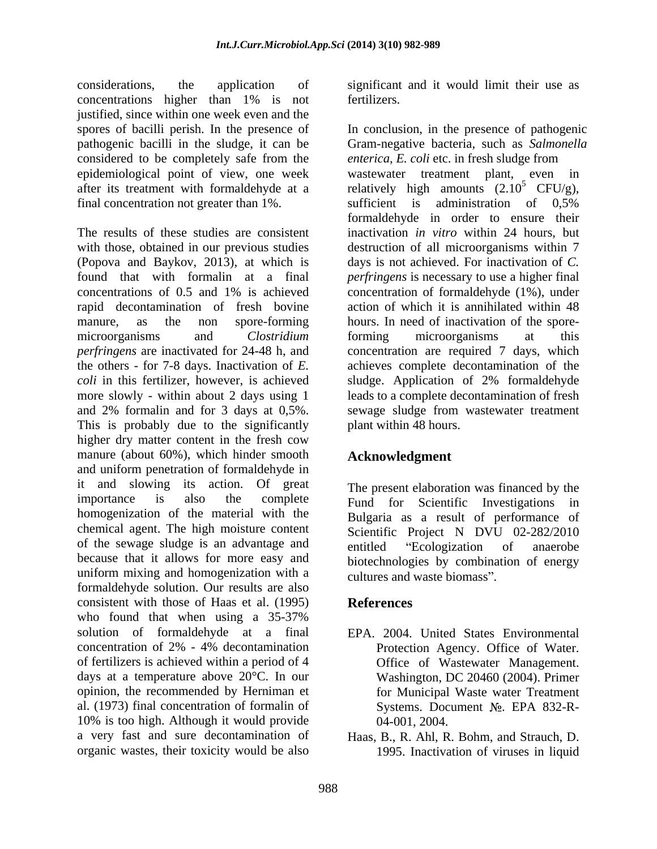considerations, the application of significant and it would limit their use as concentrations higher than 1% is not justified, since within one week even and the considered to be completely safe from the *enterica, E. coli* etc. in fresh sludge from

more slowly - within about 2 days using 1 and 2% formalin and for 3 days at 0,5%. This is probably due to the significantly higher dry matter content in the fresh cow manure (about 60%), which hinder smooth and uniform penetration of formaldehyde in it and slowing its action. Of great importance is also the complete Fund for Scientific Investigations in homogenization of the material with the chemical agent. The high moisture content of the sewage sludge is an advantage and because that it allows for more easy and uniform mixing and homogenization with a cultures and waste biomass". formaldehyde solution. Our results are also consistent with those of Haas et al. (1995) who found that when using a 35-37% solution of formaldehyde at a final concentration of 2% - 4% decontamination of fertilizers is achieved within a period of 4 Office of Wastewater Management. days at a temperature above 20°C. In our opinion, the recommended by Herniman et for Municipal Waste water Treatment al. (1973) final concentration of formalin of 10% is too high. Although it would provide a very fast and sure decontamination of Haas, B., R. Ahl, R. Bohm, and Strauch, D.

fertilizers.

spores of bacilli perish. In the presence of In conclusion, in the presence of pathogenic pathogenic bacilli in the sludge, it can be Gram-negative bacteria, such as *Salmonella*  epidemiological point of view, one week wastewater treatment plant, even in after its treatment with formaldehyde at a serial relatively high amounts  $(2.10^{\circ} \text{ CFU/g})$ , final concentration not greater than 1%. sufficient is administration of 0,5% The results of these studies are consistent inactivation *in vitro* within 24 hours, but with those, obtained in our previous studies destruction of all microorganisms within 7 (Popova and Baykov, 2013), at which is days is not achieved. For inactivation of *C.*  found that with formalin at a final *perfringens* is necessary to use a higher final concentrations of 0.5 and 1% is achieved rapid decontamination of fresh bovine action of which it is annihilated within 48 manure, as the non spore-forming hours. In need of inactivation of the sporemicroorganisms and *Clostridium perfringens* are inactivated for 24-48 h, and concentration are required 7 days, which the others - for 7-8 days. Inactivation of *E.*  achieves complete decontamination of the *coli* in this fertilizer, however, is achieved sludge. Application of 2% formaldehyde *enterica, E. coli* etc. in fresh sludge from  $^5$  CFU/g), formaldehyde in order to ensure their concentration of formaldehyde (1%), under forming microorganisms at this leads to a complete decontamination of fresh sewage sludge from wastewater treatment plant within 48 hours.

# **Acknowledgment**

The present elaboration was financed by the Bulgaria as a result of performance of Scientific Project N DVU 02-282/2010 entitled "Ecologization of anaerobe biotechnologies by combination of energy cultures and waste biomass".

# **References**

- EPA. 2004. United States Environmental Protection Agency. Office of Water. Washington, DC 20460 (2004). Primer Systems. Document No. EPA 832-R-04-001, 2004.
- organic wastes, their toxicity would be also 1995. Inactivation of viruses in liquid